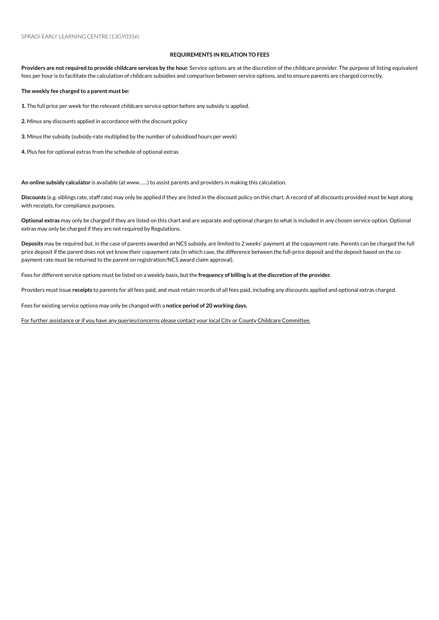## **REQUIREMENTS IN RELATION TO FEES**

Providers are not required to provide childcare services by the hour. Service options are at the discretion of the childcare provider. The purpose of listing equivalent fees per hour is to facilitate the calculation of childcare subsidies and comparison between service options, and to ensure parents are charged correctly.

**The weekly fee charged to a parent must be:**

1. The full price per week for the relevant childcare service option before any subsidy is applied.

2. Minus any discounts applied in accordance with the discount policy

**3.** Minus the subsidy (subsidy-rate multiplied by the number of subsidised hours per week)

4. Plus fee for optional extras from the schedule of optional extras

An online subsidy calculator is available (at www......) to assist parents and providers in making this calculation.

**Discounts** (e.g. siblings rate, staff rate) mayonly be applied if they are listed inthe discount policyonthis chart. A record of all discounts provided must be kept along with receipts, for compliance purposes.

**Optional extras** mayonly be charged if they are listed onthis chart and are separate and optional charges to what is included inany chosenserviceoption. Optional extras may only be charged if they are not required by Regulations.

Deposits may be required but, in the case of parents awarded an NCS subsidy, are limited to 2 weeks' payment at the copayment rate. Parents can be charged the full price deposit if the parent does not yet know their copayment rate (in which case, the difference between the full-price deposit and the deposit based on the copayment rate must be returned to the parent on registration/NCS award claim approval).

Fees for different serviceoptions must be listed ona weekly basis, but the **frequency of billing is atthe discretion ofthe provider.**

Providers must issue receipts to parents for all fees paid, and must retain records of all fees paid, including any discounts applied and optional extras charged.

Fees for existing service options may only be changed with a notice period of 20 working days.

For further assistance or if you have any queries/concerns please contact your local City or County Childcare Committee.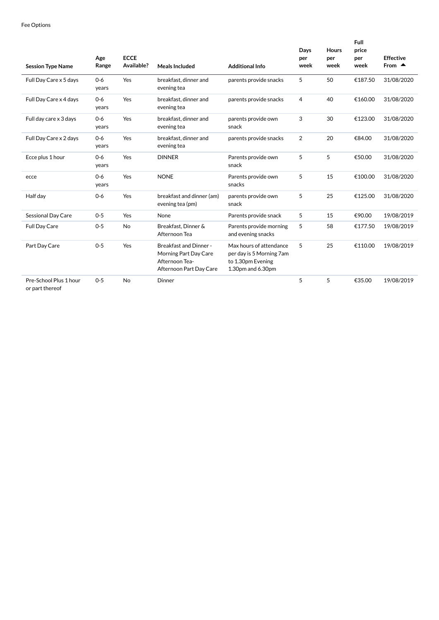| <b>Session Type Name</b> | Age<br>Range     | <b>ECCE</b><br>Available? | Meals Included                                                                                     | <b>Additional Info</b>                                                                        | Days<br>per<br>week | <b>Hours</b><br>per<br>week | <b>Full</b><br>price<br>per<br>week | <b>Effective</b><br>From $\triangle$ |
|--------------------------|------------------|---------------------------|----------------------------------------------------------------------------------------------------|-----------------------------------------------------------------------------------------------|---------------------|-----------------------------|-------------------------------------|--------------------------------------|
| Full Day Care x 5 days   | $0 - 6$<br>years | Yes                       | breakfast, dinner and<br>evening tea                                                               | parents provide snacks                                                                        | 5                   | 50                          | €187.50                             | 31/08/2020                           |
| Full Day Care x 4 days   | $0 - 6$<br>years | Yes                       | breakfast, dinner and<br>evening tea                                                               | parents provide snacks                                                                        | $\overline{4}$      | 40                          | €160.00                             | 31/08/2020                           |
| Full day care x 3 days   | $0-6$<br>years   | Yes                       | breakfast, dinner and<br>evening tea                                                               | parents provide own<br>snack                                                                  | 3                   | 30                          | €123.00                             | 31/08/2020                           |
| Full Day Care x 2 days   | $0 - 6$<br>years | Yes                       | breakfast, dinner and<br>evening tea                                                               | parents provide snacks                                                                        | $\overline{2}$      | 20                          | €84.00                              | 31/08/2020                           |
| Ecce plus 1 hour         | $0 - 6$<br>years | Yes                       | <b>DINNER</b>                                                                                      | Parents provide own<br>snack                                                                  | 5                   | 5                           | €50.00                              | 31/08/2020                           |
| ecce                     | $0 - 6$<br>years | Yes                       | <b>NONE</b>                                                                                        | Parents provide own<br>snacks                                                                 | 5                   | 15                          | €100.00                             | 31/08/2020                           |
| Half day                 | $0 - 6$          | Yes                       | breakfast and dinner (am)<br>evening tea (pm)                                                      | parents provide own<br>snack                                                                  | 5                   | 25                          | €125.00                             | 31/08/2020                           |
| Sessional Day Care       | $0 - 5$          | Yes                       | None                                                                                               | Parents provide snack                                                                         | 5                   | 15                          | €90.00                              | 19/08/2019                           |
| <b>Full Day Care</b>     | $0 - 5$          | No                        | Breakfast, Dinner &<br>Afternoon Tea                                                               | Parents provide morning<br>and evening snacks                                                 | 5                   | 58                          | €177.50                             | 19/08/2019                           |
| Part Day Care            | $0 - 5$          | Yes                       | <b>Breakfast and Dinner-</b><br>Morning Part Day Care<br>Afternoon Tea-<br>Afternoon Part Day Care | Max hours of attendance<br>per day is 5 Morning 7am<br>to 1.30pm Evening<br>1.30pm and 6.30pm | 5                   | 25                          | €110.00                             | 19/08/2019                           |
| Pre-School Plus 1 hour   | $0 - 5$          | <b>No</b>                 | Dinner                                                                                             |                                                                                               | 5                   | 5                           | €35.00                              | 19/08/2019                           |

or part thereof